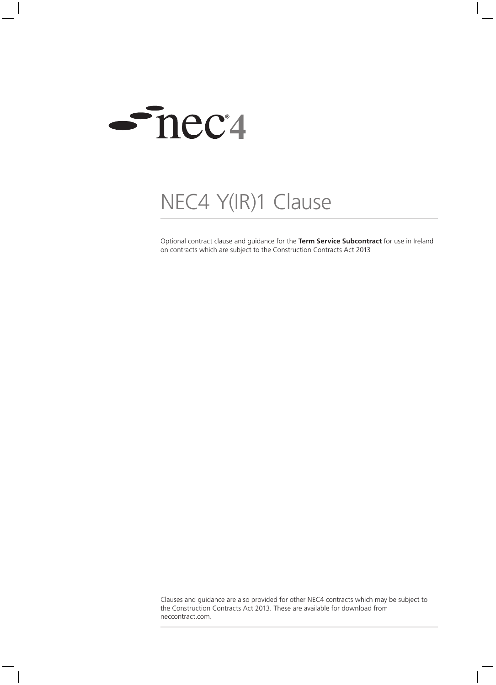

## NEC4 Y(IR)1 Clause

Optional contract clause and guidance for the **Term Service Subcontract** for use in Ireland on contracts which are subject to the Construction Contracts Act 2013

Clauses and guidance are also provided for other NEC4 contracts which may be subject to the Construction Contracts Act 2013. These are available for download from neccontract.com.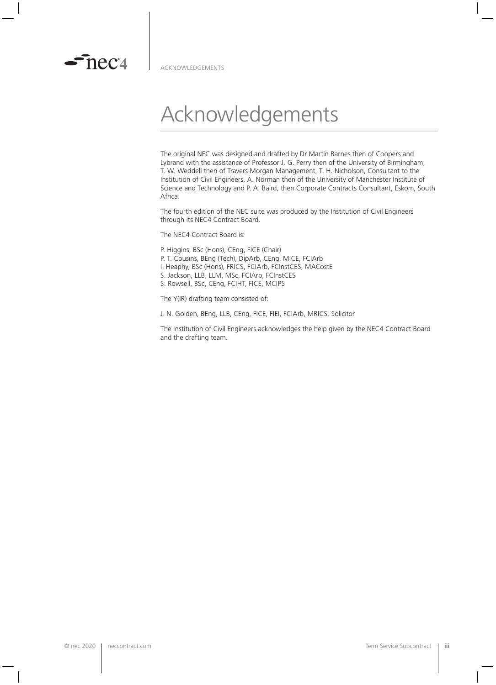

 $\sim$  nec $\alpha$ 

## Acknowledgements

The original NEC was designed and drafted by Dr Martin Barnes then of Coopers and Lybrand with the assistance of Professor J. G. Perry then of the University of Birmingham, T. W. Weddell then of Travers Morgan Management, T. H. Nicholson, Consultant to the Institution of Civil Engineers, A. Norman then of the University of Manchester Institute of Science and Technology and P. A. Baird, then Corporate Contracts Consultant, Eskom, South Africa.

The fourth edition of the NEC suite was produced by the Institution of Civil Engineers through its NEC4 Contract Board.

The NEC4 Contract Board is:

- P. Higgins, BSc (Hons), CEng, FICE (Chair) P. T. Cousins, BEng (Tech), DipArb, CEng, MICE, FCIArb
- I. Heaphy, BSc (Hons), FRICS, FCIArb, FCInstCES, MACostE
- S. Jackson, LLB, LLM, MSc, FCIArb, FCInstCES
- S. Rowsell, BSc, CEng, FCIHT, FICE, MCIPS

The Y(IR) drafting team consisted of:

J. N. Golden, BEng, LLB, CEng, FICE, FIEI, FCIArb, MRICS, Solicitor

The Institution of Civil Engineers acknowledges the help given by the NEC4 Contract Board and the drafting team.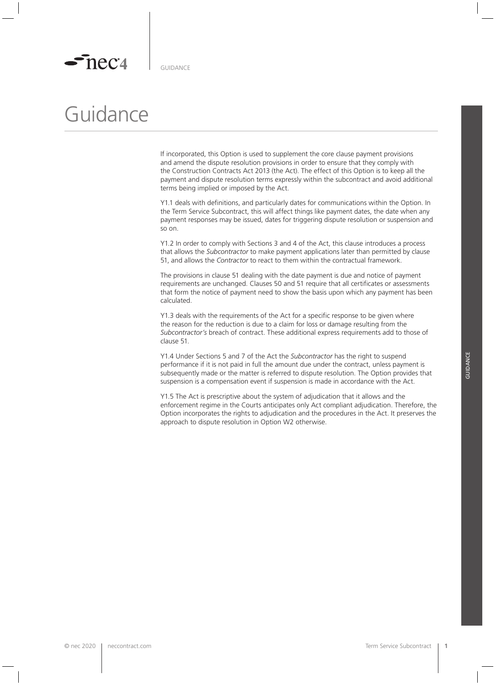## Guidance

If incorporated, this Option is used to supplement the core clause payment provisions and amend the dispute resolution provisions in order to ensure that they comply with the Construction Contracts Act 2013 (the Act). The effect of this Option is to keep all the payment and dispute resolution terms expressly within the subcontract and avoid additional terms being implied or imposed by the Act.

Y1.1 deals with definitions, and particularly dates for communications within the Option. In the Term Service Subcontract, this will affect things like payment dates, the date when any payment responses may be issued, dates for triggering dispute resolution or suspension and so on.

Y1.2 In order to comply with Sections 3 and 4 of the Act, this clause introduces a process that allows the *Subcontractor* to make payment applications later than permitted by clause 51, and allows the *Contractor* to react to them within the contractual framework.

The provisions in clause 51 dealing with the date payment is due and notice of payment requirements are unchanged. Clauses 50 and 51 require that all certificates or assessments that form the notice of payment need to show the basis upon which any payment has been calculated.

Y1.3 deals with the requirements of the Act for a specific response to be given where the reason for the reduction is due to a claim for loss or damage resulting from the *Subcontractor's* breach of contract. These additional express requirements add to those of clause 51.

Y1.4 Under Sections 5 and 7 of the Act the *Subcontractor* has the right to suspend performance if it is not paid in full the amount due under the contract, unless payment is subsequently made or the matter is referred to dispute resolution. The Option provides that suspension is a compensation event if suspension is made in accordance with the Act.

Y1.5 The Act is prescriptive about the system of adjudication that it allows and the enforcement regime in the Courts anticipates only Act compliant adjudication. Therefore, the Option incorporates the rights to adjudication and the procedures in the Act. It preserves the approach to dispute resolution in Option W2 otherwise.